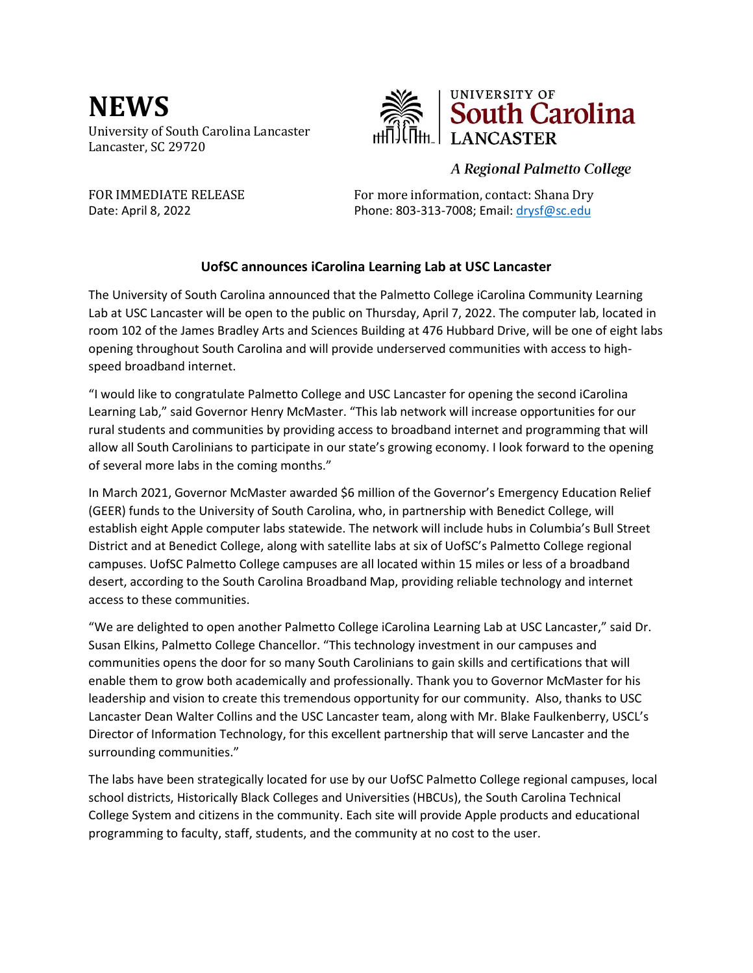**NEWS**  University of South Carolina Lancaster Lancaster, SC 29720



## A Regional Palmetto College

FOR IMMEDIATE RELEASE For more information, contact: Shana Dry Date: April 8, 2022 Phone: 803-313-7008; Email: [drysf@sc.edu](mailto:drysf@sc.edu)

## **UofSC announces iCarolina Learning Lab at USC Lancaster**

The University of South Carolina announced that the Palmetto College iCarolina Community Learning Lab at USC Lancaster will be open to the public on Thursday, April 7, 2022. The computer lab, located in room 102 of the James Bradley Arts and Sciences Building at 476 Hubbard Drive, will be one of eight labs opening throughout South Carolina and will provide underserved communities with access to highspeed broadband internet.

"I would like to congratulate Palmetto College and USC Lancaster for opening the second iCarolina Learning Lab," said Governor Henry McMaster. "This lab network will increase opportunities for our rural students and communities by providing access to broadband internet and programming that will allow all South Carolinians to participate in our state's growing economy. I look forward to the opening of several more labs in the coming months."

In March 2021, Governor McMaster awarded \$6 million of the Governor's Emergency Education Relief (GEER) funds to the University of South Carolina, who, in partnership with Benedict College, will establish eight Apple computer labs statewide. The network will include hubs in Columbia's Bull Street District and at Benedict College, along with satellite labs at six of UofSC's Palmetto College regional campuses. UofSC Palmetto College campuses are all located within 15 miles or less of a broadband desert, according to the South Carolina Broadband Map, providing reliable technology and internet access to these communities.

"We are delighted to open another Palmetto College iCarolina Learning Lab at USC Lancaster," said Dr. Susan Elkins, Palmetto College Chancellor. "This technology investment in our campuses and communities opens the door for so many South Carolinians to gain skills and certifications that will enable them to grow both academically and professionally. Thank you to Governor McMaster for his leadership and vision to create this tremendous opportunity for our community. Also, thanks to USC Lancaster Dean Walter Collins and the USC Lancaster team, along with Mr. Blake Faulkenberry, USCL's Director of Information Technology, for this excellent partnership that will serve Lancaster and the surrounding communities."

The labs have been strategically located for use by our UofSC Palmetto College regional campuses, local school districts, Historically Black Colleges and Universities (HBCUs), the South Carolina Technical College System and citizens in the community. Each site will provide Apple products and educational programming to faculty, staff, students, and the community at no cost to the user.